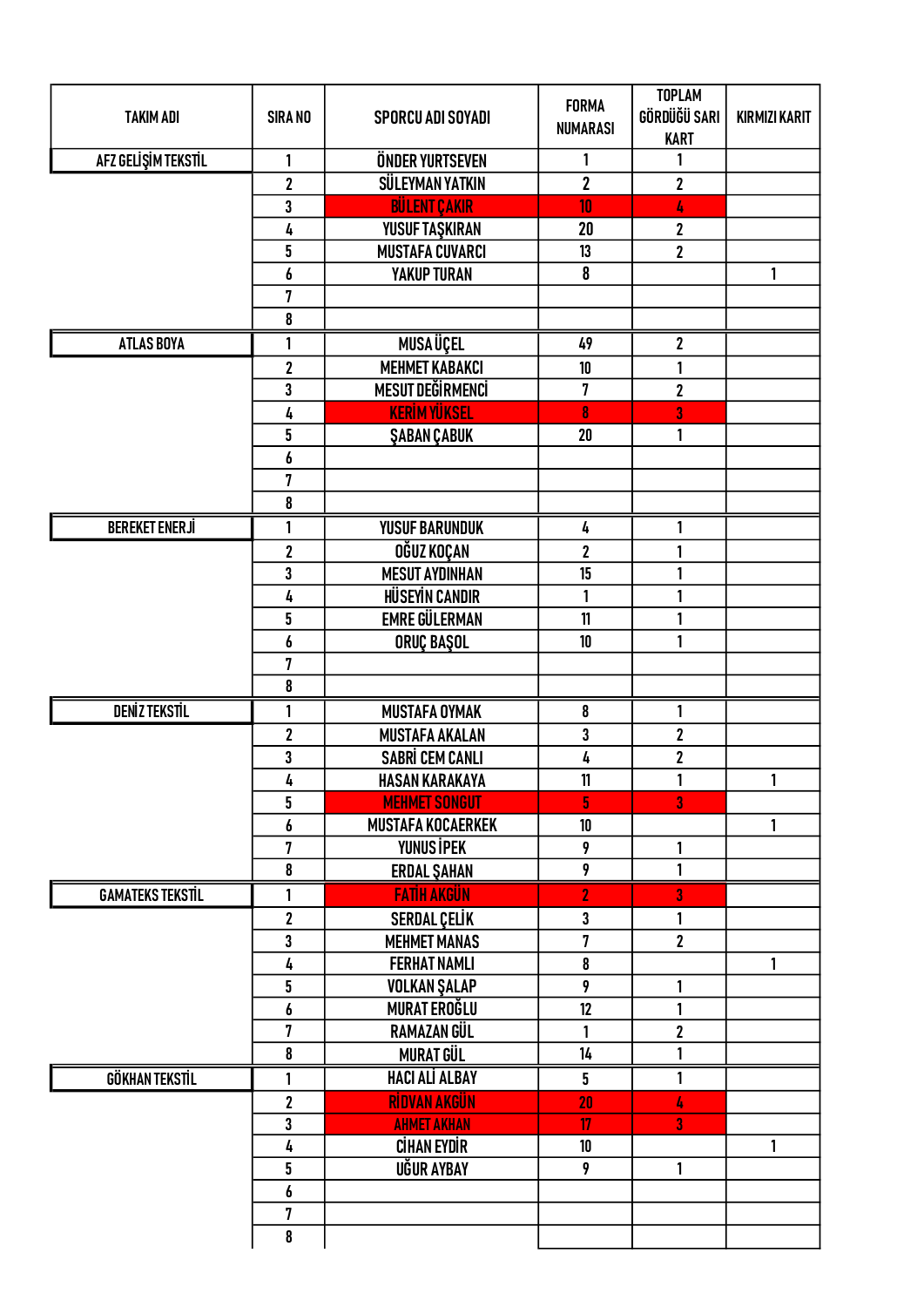| <b>TAKIM ADI</b>        | <b>SIRA NO</b>          | <b>SPORCU ADI SOYADI</b> | <b>FORMA</b><br><b>NUMARASI</b> | <b>TOPLAM</b><br>GÖRDÜĞÜ SARI<br><b>KART</b> | <b>KIRMIZI KARIT</b> |
|-------------------------|-------------------------|--------------------------|---------------------------------|----------------------------------------------|----------------------|
| AFZ GELİŞİM TEKSTİL     | 1                       | ÖNDER YURTSEVEN          | 1                               | 1                                            |                      |
|                         | $\overline{\mathbf{2}}$ | <b>SÜLEYMAN YATKIN</b>   | $\overline{2}$                  | $\overline{\mathbf{2}}$                      |                      |
|                         | 3                       | <b>BÜLENT ÇAKIR</b>      | 10                              | 4                                            |                      |
|                         | 4                       | YUSUF TAŞKIRAN           | 20                              | $\mathbf 2$                                  |                      |
|                         | 5                       | <b>MUSTAFA CUVARCI</b>   | 13                              | $\overline{\mathbf{2}}$                      |                      |
|                         | 6                       | <b>YAKUP TURAN</b>       | 8                               |                                              | 1                    |
|                         | 7                       |                          |                                 |                                              |                      |
|                         | 8                       |                          |                                 |                                              |                      |
| <b>ATLAS BOYA</b>       | 1                       | <b>MUSAÜÇEL</b>          | 49                              | $\overline{\mathbf{2}}$                      |                      |
|                         | $\overline{\mathbf{c}}$ | <b>MEHMET KABAKCI</b>    | 10                              | 1                                            |                      |
|                         | 3                       | <b>MESUT DEĞİRMENCİ</b>  | 7                               | $\overline{\mathbf{2}}$                      |                      |
|                         | 4                       | <b>KERİM YÜKSEL</b>      | 8                               | 3                                            |                      |
|                         | 5                       | <b>ŞABAN ÇABUK</b>       | 20                              | 1                                            |                      |
|                         | 6                       |                          |                                 |                                              |                      |
|                         | 7                       |                          |                                 |                                              |                      |
|                         | 8                       |                          |                                 |                                              |                      |
| <b>BEREKET ENERJİ</b>   | 1                       | <b>YUSUF BARUNDUK</b>    | 4                               | 1                                            |                      |
|                         | $\mathbf 2$             | <b>OĞUZ KOÇAN</b>        | $\mathbf 2$                     | 1                                            |                      |
|                         | 3                       | <b>MESUT AYDINHAN</b>    | 15                              | 1                                            |                      |
|                         | 4                       | <b>HÜSEYİN CANDIR</b>    | 1                               | 1                                            |                      |
|                         | 5                       | <b>EMRE GÜLERMAN</b>     | 11                              | 1                                            |                      |
|                         |                         |                          | 10                              | 1                                            |                      |
|                         | 6<br>7                  | ORUÇ BAŞOL               |                                 |                                              |                      |
|                         | 8                       |                          |                                 |                                              |                      |
|                         |                         |                          |                                 |                                              |                      |
| <b>DENİZ TEKSTİL</b>    | 1                       | <b>MUSTAFA OYMAK</b>     | 8                               | 1                                            |                      |
|                         | $\overline{\mathbf{2}}$ | <b>MUSTAFA AKALAN</b>    | 3                               | $\overline{\mathbf{c}}$                      |                      |
|                         | 3                       | <b>SABRİ CEM CANLI</b>   | 4                               | $\overline{\mathbf{2}}$                      |                      |
|                         | 4                       | <b>HASAN KARAKAYA</b>    | 11                              | 1                                            | $\mathbf{1}$         |
|                         | 5                       | <b>MEHMET SONGUT</b>     | 5                               | 3                                            |                      |
|                         | 6                       | <b>MUSTAFA KOCAERKEK</b> | 10                              |                                              | 1                    |
|                         | 7                       | <b>YUNUS İPEK</b>        | 9                               | 1                                            |                      |
|                         | 8                       | <b>ERDAL ŞAHAN</b>       | 9                               | 1                                            |                      |
| <b>GAMATEKS TEKSTIL</b> | 1                       | <b>FATIH AKGÜN</b>       | $\overline{2}$                  | 3                                            |                      |
|                         | $\overline{\mathbf{2}}$ | SERDAL ÇELİK             | 3                               | 1                                            |                      |
|                         | 3                       | <b>MEHMET MANAS</b>      | 7                               | $\overline{\mathbf{2}}$                      |                      |
|                         | 4                       | <b>FERHAT NAMLI</b>      | $\pmb{8}$                       |                                              | 1                    |
|                         | 5                       | <b>VOLKAN ŞALAP</b>      | 9                               | 1                                            |                      |
|                         | 6                       | MURAT EROĞLU             | 12                              | 1                                            |                      |
|                         | $\overline{7}$          | RAMAZAN GÜL              | 1                               | $\overline{\mathbf{2}}$                      |                      |
|                         | 8                       | <b>MURAT GÜL</b>         | 14                              | 1                                            |                      |
| <b>GÖKHAN TEKSTİL</b>   | 1                       | <b>HACI ALI ALBAY</b>    | 5 <sup>5</sup>                  | 1                                            |                      |
|                         | $\mathbf 2$             | RÍDVAN AKGÜN             | 20                              | 4                                            |                      |
|                         | 3                       | <b>AHMET AKHAN</b>       | $\overline{17}$                 | 3                                            |                      |
|                         | 4                       | <b>CİHAN EYDİR</b>       | 10                              |                                              | $\mathbf{1}$         |
|                         | 5                       | UĞUR AYBAY               | 9                               | 1                                            |                      |
|                         | 6                       |                          |                                 |                                              |                      |
|                         | 7                       |                          |                                 |                                              |                      |
|                         | 8                       |                          |                                 |                                              |                      |